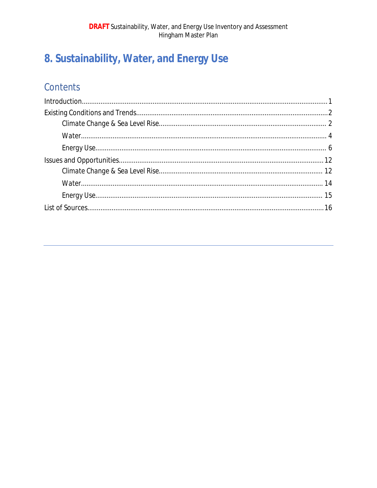# 8. Sustainability, Water, and Energy Use

## Contents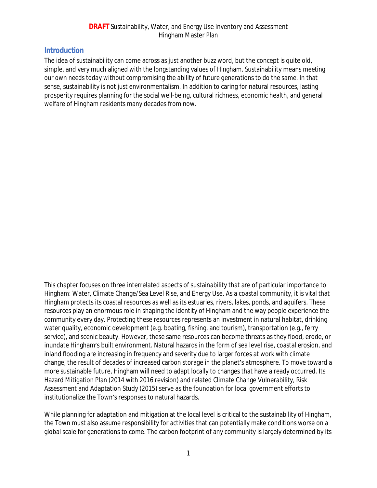## **Introduction**

The idea of sustainability can come across as just another buzz word, but the concept is quite old, simple, and very much aligned with the longstanding values of Hingham. Sustainability means *meeting our own needs today without compromising the ability of future generations to do the same*. In that sense, sustainability is not just environmentalism. In addition to caring for natural resources, lasting prosperity requires planning for the social well-being, cultural richness, economic health, and general welfare of Hingham residents many decades from now.

This chapter focuses on three interrelated aspects of sustainability that are of particular importance to Hingham: Water, Climate Change/Sea Level Rise, and Energy Use. As a coastal community, it is vital that Hingham protects its coastal resources as well as its estuaries, rivers, lakes, ponds, and aquifers. These resources play an enormous role in shaping the identity of Hingham and the way people experience the community every day. Protecting these resources represents an investment in natural habitat, drinking water quality, economic development (e.g. boating, fishing, and tourism), transportation (e.g., ferry service), and scenic beauty. However, these same resources can become threats as they flood, erode, or inundate Hingham's built environment. Natural hazards in the form of sea level rise, coastal erosion, and inland flooding are increasing in frequency and severity due to larger forces at work with climate change, the result of decades of increased carbon storage in the planet's atmosphere. To move toward a more sustainable future, Hingham will need to adapt locally to changes that have already occurred. Its Hazard Mitigation Plan (2014 with 2016 revision) and related Climate Change Vulnerability, Risk Assessment and Adaptation Study (2015) serve as the foundation for local government efforts to institutionalize the Town's responses to natural hazards.

While planning for adaptation and mitigation at the local level is critical to the sustainability of Hingham, the Town must also assume responsibility for activities that can potentially make conditions worse on a global scale for generations to come. The carbon footprint of any community is largely determined by its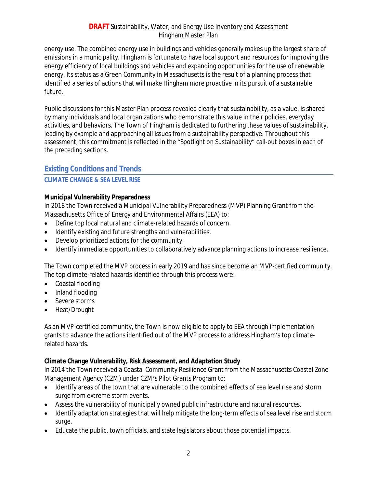energy use. The combined energy use in buildings and vehicles generally makes up the largest share of emissions in a municipality. Hingham is fortunate to have local support and resources for improving the energy efficiency of local buildings and vehicles and expanding opportunities for the use of renewable energy. Its status as a Green Community in Massachusetts is the result of a planning process that identified a series of actions that will make Hingham more proactive in its pursuit of a sustainable future.

Public discussions for this Master Plan process revealed clearly that sustainability, as a value, is shared by many individuals and local organizations who demonstrate this value in their policies, everyday activities, and behaviors. The Town of Hingham is dedicated to furthering these values of sustainability, leading by example and approaching all issues from a sustainability perspective. Throughout this assessment, this commitment is reflected in the "Spotlight on Sustainability" call-out boxes in each of the preceding sections.

## <span id="page-3-0"></span>**Existing Conditions and Trends**

#### <span id="page-3-1"></span>**CLIMATE CHANGE & SEA LEVEL RISE**

#### **Municipal Vulnerability Preparedness**

In 2018 the Town received a Municipal Vulnerability Preparedness (MVP) Planning Grant from the Massachusetts Office of Energy and Environmental Affairs (EEA) to:

- Define top local natural and climate-related hazards of concern.
- Identify existing and future strengths and vulnerabilities.
- Develop prioritized actions for the community.
- Identify immediate opportunities to collaboratively advance planning actions to increase resilience.

The Town completed the MVP process in early 2019 and has since become an MVP-certified community. The top climate-related hazards identified through this process were:

- Coastal flooding
- Inland flooding
- Severe storms
- Heat/Drought

As an MVP-certified community, the Town is now eligible to apply to EEA through implementation grants to advance the actions identified out of the MVP process to address Hingham's top climaterelated hazards.

#### **Climate Change Vulnerability, Risk Assessment, and Adaptation Study**

In 2014 the Town received a Coastal Community Resilience Grant from the Massachusetts Coastal Zone Management Agency (CZM) under CZM's Pilot Grants Program to:

- Identify areas of the town that are vulnerable to the combined effects of sea level rise and storm surge from extreme storm events.
- Assess the vulnerability of municipally owned public infrastructure and natural resources.
- Identify adaptation strategies that will help mitigate the long-term effects of sea level rise and storm surge.
- Educate the public, town officials, and state legislators about those potential impacts.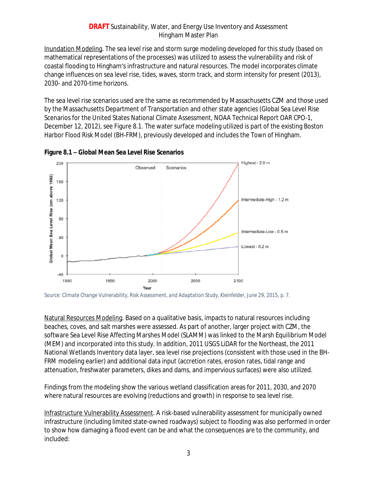Inundation Modeling. The sea level rise and storm surge modeling developed for this study (based on mathematical representations of the processes) was utilized to assess the vulnerability and risk of coastal flooding to Hingham's infrastructure and natural resources. The model incorporates climate change influences on sea level rise, tides, waves, storm track, and storm intensity for present (2013), 2030- and 2070-time horizons.

The sea level rise scenarios used are the same as recommended by Massachusetts CZM and those used by the Massachusetts Department of Transportation and other state agencies (Global Sea Level Rise Scenarios for the United States National Climate Assessment, NOAA Technical Report OAR CPO-1, December 12, 2012), see Figure 8.1. The water surface modeling utilized is part of the existing Boston Harbor Flood Risk Model (BH-FRM), previously developed and includes the Town of Hingham.



**Figure 8.1 – Global Mean Sea Level Rise Scenarios**

Natural Resources Modeling. Based on a qualitative basis, impacts to natural resources including beaches, coves, and salt marshes were assessed. As part of another, larger project with CZM, the software Sea Level Rise Affecting Marshes Model (SLAMM) was linked to the Marsh Equilibrium Model (MEM) and incorporated into this study. In addition, 2011 USGS LiDAR for the Northeast, the 2011 National Wetlands Inventory data layer, sea level rise projections (consistent with those used in the BH-FRM modeling earlier) and additional data input (accretion rates, erosion rates, tidal range and attenuation, freshwater parameters, dikes and dams, and impervious surfaces) were also utilized.

Findings from the modeling show the various wetland classification areas for 2011, 2030, and 2070 where natural resources are evolving (reductions and growth) in response to sea level rise.

Infrastructure Vulnerability Assessment. A risk-based vulnerability assessment for municipally owned infrastructure (including limited state-owned roadways) subject to flooding was also performed in order to show how damaging a flood event can be and what the consequences are to the community, and included:

*Source: Climate Change Vulnerability, Risk Assessment, and Adaptation Study, Kleinfelder, June 29, 2015, p. 7.*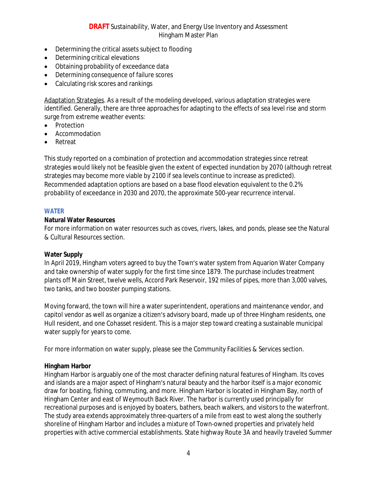- Determining the critical assets subject to flooding
- Determining critical elevations
- Obtaining probability of exceedance data
- Determining consequence of failure scores
- Calculating risk scores and rankings

Adaptation Strategies. As a result of the modeling developed, various adaptation strategies were identified. Generally, there are three approaches for adapting to the effects of sea level rise and storm surge from extreme weather events:

- Protection
- Accommodation
- Retreat

This study reported on a combination of protection and accommodation strategies since retreat strategies would likely not be feasible given the extent of expected inundation by 2070 (although retreat strategies may become more viable by 2100 if sea levels continue to increase as predicted). Recommended adaptation options are based on a base flood elevation equivalent to the 0.2% probability of exceedance in 2030 and 2070, the approximate 500-year recurrence interval.

#### <span id="page-5-0"></span>**WATER**

#### **Natural Water Resources**

For more information on water resources such as coves, rivers, lakes, and ponds, please see the Natural & Cultural Resources section.

#### **Water Supply**

In April 2019, Hingham voters agreed to buy the Town's water system from Aquarion Water Company and take ownership of water supply for the first time since 1879. The purchase includes treatment plants off Main Street, twelve wells, Accord Park Reservoir, 192 miles of pipes, more than 3,000 valves, two tanks, and two booster pumping stations.

Moving forward, the town will hire a water superintendent, operations and maintenance vendor, and capitol vendor as well as organize a citizen's advisory board, made up of three Hingham residents, one Hull resident, and one Cohasset resident. This is a major step toward creating a sustainable municipal water supply for years to come.

For more information on water supply, please see the Community Facilities & Services section.

#### **Hingham Harbor**

Hingham Harbor is arguably one of the most character defining natural features of Hingham. Its coves and islands are a major aspect of Hingham's natural beauty and the harbor itself is a major economic draw for boating, fishing, commuting, and more. Hingham Harbor is located in Hingham Bay, north of Hingham Center and east of Weymouth Back River. The harbor is currently used principally for recreational purposes and is enjoyed by boaters, bathers, beach walkers, and visitors to the waterfront. The study area extends approximately three-quarters of a mile from east to west along the southerly shoreline of Hingham Harbor and includes a mixture of Town-owned properties and privately held properties with active commercial establishments. State highway Route 3A and heavily traveled Summer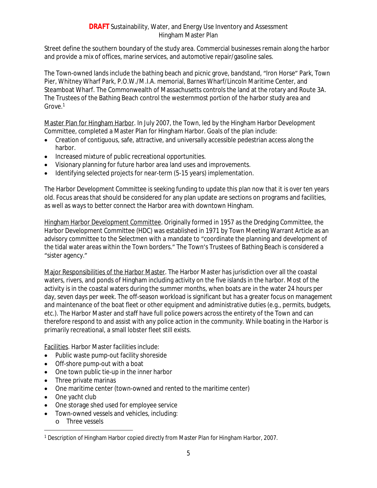Street define the southern boundary of the study area. Commercial businesses remain along the harbor and provide a mix of offices, marine services, and automotive repair/gasoline sales.

The Town-owned lands include the bathing beach and picnic grove, bandstand, "Iron Horse" Park, Town Pier, Whitney Wharf Park, P.O.W./M.I.A. memorial, Barnes Wharf/Lincoln Maritime Center, and Steamboat Wharf. The Commonwealth of Massachusetts controls the land at the rotary and Route 3A. The Trustees of the Bathing Beach control the westernmost portion of the harbor study area and Grove.<sup>1</sup>

Master Plan for Hingham Harbor. In July 2007, the Town, led by the Hingham Harbor Development Committee, completed a Master Plan for Hingham Harbor. Goals of the plan include:

- Creation of contiguous, safe, attractive, and universally accessible pedestrian access along the harbor.
- Increased mixture of public recreational opportunities.
- Visionary planning for future harbor area land uses and improvements.
- Identifying selected projects for near-term (5-15 years) implementation.

The Harbor Development Committee is seeking funding to update this plan now that it is over ten years old. Focus areas that should be considered for any plan update are sections on programs and facilities, as well as ways to better connect the Harbor area with downtown Hingham.

Hingham Harbor Development Committee. Originally formed in 1957 as the Dredging Committee, the Harbor Development Committee (HDC) was established in 1971 by Town Meeting Warrant Article as an advisory committee to the Selectmen with a mandate to "coordinate the planning and development of the tidal water areas within the Town borders." The Town's Trustees of Bathing Beach is considered a "sister agency."

Major Responsibilities of the Harbor Master. The Harbor Master has jurisdiction over all the coastal waters, rivers, and ponds of Hingham including activity on the five islands in the harbor. Most of the activity is in the coastal waters during the summer months, when boats are in the water 24 hours per day, seven days per week. The off-season workload is significant but has a greater focus on management and maintenance of the boat fleet or other equipment and administrative duties (e.g., permits, budgets, etc.). The Harbor Master and staff have full police powers across the entirety of the Town and can therefore respond to and assist with any police action in the community. While boating in the Harbor is primarily recreational, a small lobster fleet still exists.

Facilities. Harbor Master facilities include:

- Public waste pump-out facility shoreside
- Off-shore pump-out with a boat
- One town public tie-up in the inner harbor
- Three private marinas
- One maritime center (town-owned and rented to the maritime center)
- One yacht club
- One storage shed used for employee service
- Town-owned vessels and vehicles, including:
	- o Three vessels

<sup>1</sup> Description of Hingham Harbor copied directly from *Master Plan for Hingham Harbor*, 2007.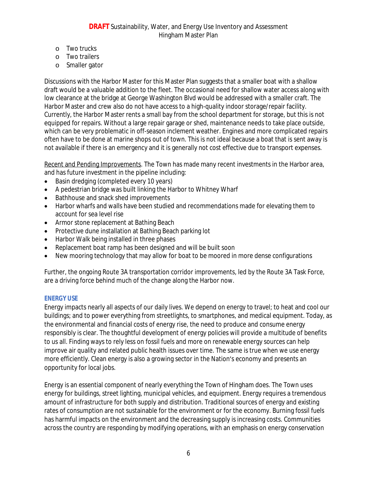- o Two trucks
- o Two trailers
- o Smaller gator

Discussions with the Harbor Master for this Master Plan suggests that a smaller boat with a shallow draft would be a valuable addition to the fleet. The occasional need for shallow water access along with low clearance at the bridge at George Washington Blvd would be addressed with a smaller craft. The Harbor Master and crew also do not have access to a high-quality indoor storage/repair facility. Currently, the Harbor Master rents a small bay from the school department for storage, but this is not equipped for repairs. Without a large repair garage or shed, maintenance needs to take place outside, which can be very problematic in off-season inclement weather. Engines and more complicated repairs often have to be done at marine shops out of town. This is not ideal because a boat that is sent away is not available if there is an emergency and it is generally not cost effective due to transport expenses.

Recent and Pending Improvements. The Town has made many recent investments in the Harbor area, and has future investment in the pipeline including:

- Basin dredging (completed every 10 years)
- A pedestrian bridge was built linking the Harbor to Whitney Wharf
- Bathhouse and snack shed improvements
- Harbor wharfs and walls have been studied and recommendations made for elevating them to account for sea level rise
- Armor stone replacement at Bathing Beach
- Protective dune installation at Bathing Beach parking lot
- Harbor Walk being installed in three phases
- Replacement boat ramp has been designed and will be built soon
- New mooring technology that may allow for boat to be moored in more dense configurations

Further, the ongoing Route 3A transportation corridor improvements, led by the Route 3A Task Force, are a driving force behind much of the change along the Harbor now.

#### <span id="page-7-0"></span>**ENERGY USE**

Energy impacts nearly all aspects of our daily lives. We depend on energy to travel; to heat and cool our buildings; and to power everything from streetlights, to smartphones, and medical equipment. Today, as the environmental and financial costs of energy rise, the need to produce and consume energy responsibly is clear. The thoughtful development of energy policies will provide a multitude of benefits to us all. Finding ways to rely less on fossil fuels and more on renewable energy sources can help improve air quality and related public health issues over time. The same is true when we use energy more efficiently. Clean energy is also a growing sector in the Nation's economy and presents an opportunity for local jobs.

Energy is an essential component of nearly everything the Town of Hingham does. The Town uses energy for buildings, street lighting, municipal vehicles, and equipment. Energy requires a tremendous amount of infrastructure for both supply and distribution. Traditional sources of energy and existing rates of consumption are not sustainable for the environment or for the economy. Burning fossil fuels has harmful impacts on the environment and the decreasing supply is increasing costs. Communities across the country are responding by modifying operations, with an emphasis on energy conservation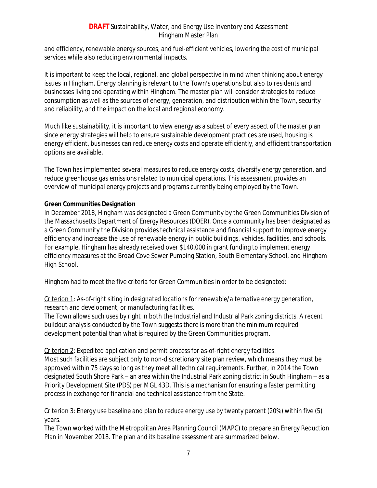and efficiency, renewable energy sources, and fuel-efficient vehicles, lowering the cost of municipal services while also reducing environmental impacts.

It is important to keep the local, regional, and global perspective in mind when thinking about energy issues in Hingham. Energy planning is relevant to the Town's operations but also to residents and businesses living and operating within Hingham. The master plan will consider strategies to reduce consumption as well as the sources of energy, generation, and distribution within the Town, security and reliability, and the impact on the local and regional economy.

Much like sustainability, it is important to view energy as a subset of every aspect of the master plan since energy strategies will help to ensure sustainable development practices are used, housing is energy efficient, businesses can reduce energy costs and operate efficiently, and efficient transportation options are available.

The Town has implemented several measures to reduce energy costs, diversify energy generation, and reduce greenhouse gas emissions related to municipal operations. This assessment provides an overview of municipal energy projects and programs currently being employed by the Town.

#### **Green Communities Designation**

In December 2018, Hingham was designated a Green Community by the Green Communities Division of the Massachusetts Department of Energy Resources (DOER). Once a community has been designated as a Green Community the Division provides technical assistance and financial support to improve energy efficiency and increase the use of renewable energy in public buildings, vehicles, facilities, and schools. For example, Hingham has already received over \$140,000 in grant funding to implement energy efficiency measures at the Broad Cove Sewer Pumping Station, South Elementary School, and Hingham High School.

Hingham had to meet the five criteria for Green Communities in order to be designated:

#### Criterion 1: *As-of-right siting in designated locations for renewable/alternative energy generation, research and development, or manufacturing facilities*.

The Town allows such uses by right in both the Industrial and Industrial Park zoning districts. A recent buildout analysis conducted by the Town suggests there is more than the minimum required development potential than what is required by the Green Communities program.

#### Criterion 2: *Expedited application and permit process for as-of-right energy facilities*.

Most such facilities are subject only to non-discretionary site plan review, which means they must be approved within 75 days so long as they meet all technical requirements. Further, in 2014 the Town designated South Shore Park – an area within the Industrial Park zoning district in South Hingham – as a Priority Development Site (PDS) per MGL 43D. This is a mechanism for ensuring a faster permitting process in exchange for financial and technical assistance from the State.

#### Criterion 3: *Energy use baseline and plan to reduce energy use by twenty percent (20%) within five (5) years*.

The Town worked with the Metropolitan Area Planning Council (MAPC) to prepare an Energy Reduction Plan in November 2018. The plan and its baseline assessment are summarized below.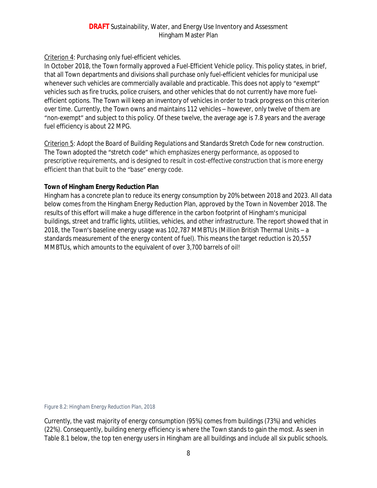## Criterion 4: *Purchasing only fuel-efficient vehicles*.

In October 2018, the Town formally approved a Fuel-Efficient Vehicle policy. This policy states, in brief, that all Town departments and divisions shall purchase only fuel-efficient vehicles for municipal use whenever such vehicles are commercially available and practicable. This does not apply to "exempt" vehicles such as fire trucks, police cruisers, and other vehicles that do not currently have more fuelefficient options. The Town will keep an inventory of vehicles in order to track progress on this criterion over time. Currently, the Town owns and maintains 112 vehicles – however, only twelve of them are "non-exempt" and subject to this policy. Of these twelve, the average age is 7.8 years and the average fuel efficiency is about 22 MPG.

Criterion 5: *Adopt the Board of Building Regulations and Standards Stretch Code for new construction.* The Town adopted the "stretch code" which emphasizes energy performance, as opposed to prescriptive requirements, and is designed to result in cost-effective construction that is more energy efficient than that built to the "base" energy code.

#### **Town of Hingham Energy Reduction Plan**

Hingham has a concrete plan to reduce its energy consumption by 20% between 2018 and 2023. All data below comes from the Hingham Energy Reduction Plan, approved by the Town in November 2018. The results of this effort will make a huge difference in the carbon footprint of Hingham's municipal buildings, street and traffic lights, utilities, vehicles, and other infrastructure. The report showed that in 2018, the Town's baseline energy usage was 102,787 MMBTUs (Million British Thermal Units – a standards measurement of the energy content of fuel). This means the target reduction is 20,557 MMBTUs, which amounts to the equivalent of over 3,700 barrels of oil!

*Figure 8.2: Hingham Energy Reduction Plan, 2018*

Currently, the vast majority of energy consumption (95%) comes from buildings (73%) and vehicles (22%). Consequently, building energy efficiency is where the Town stands to gain the most. As seen in Table 8.1 below, the top ten energy users in Hingham are all buildings and include all six public schools.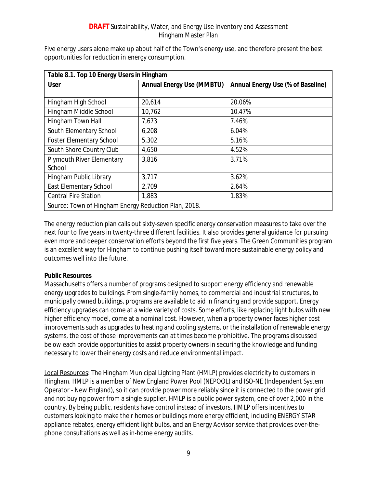| Table 8.1. Top 10 Energy Users in Hingham            |                                  |                                          |  |
|------------------------------------------------------|----------------------------------|------------------------------------------|--|
| <b>User</b>                                          | <b>Annual Energy Use (MMBTU)</b> | <b>Annual Energy Use (% of Baseline)</b> |  |
|                                                      |                                  |                                          |  |
| Hingham High School                                  | 20,614                           | 20.06%                                   |  |
| Hingham Middle School                                | 10,762                           | 10.47%                                   |  |
| Hingham Town Hall                                    | 7,673                            | 7.46%                                    |  |
| South Elementary School                              | 6,208                            | 6.04%                                    |  |
| <b>Foster Elementary School</b>                      | 5,302                            | 5.16%                                    |  |
| South Shore Country Club                             | 4,650                            | 4.52%                                    |  |
| Plymouth River Elementary                            | 3,816                            | 3.71%                                    |  |
| School                                               |                                  |                                          |  |
| Hingham Public Library                               | 3,717                            | 3.62%                                    |  |
| East Elementary School                               | 2,709                            | 2.64%                                    |  |
| <b>Central Fire Station</b>                          | 1,883                            | 1.83%                                    |  |
| Source: Town of Hingham Energy Reduction Plan, 2018. |                                  |                                          |  |

Five energy users alone make up about half of the Town's energy use, and therefore present the best opportunities for reduction in energy consumption.

The energy reduction plan calls out sixty-seven specific energy conservation measures to take over the next four to five years in twenty-three different facilities. It also provides general guidance for pursuing even more and deeper conservation efforts beyond the first five years. The Green Communities program is an excellent way for Hingham to continue pushing itself toward more sustainable energy policy and outcomes well into the future.

#### **Public Resources**

Massachusetts offers a number of programs designed to support energy efficiency and renewable energy upgrades to buildings. From single-family homes, to commercial and industrial structures, to municipally owned buildings, programs are available to aid in financing and provide support. Energy efficiency upgrades can come at a wide variety of costs. Some efforts, like replacing light bulbs with new higher efficiency model, come at a nominal cost. However, when a property owner faces higher cost improvements such as upgrades to heating and cooling systems, or the installation of renewable energy systems, the cost of those improvements can at times become prohibitive. The programs discussed below each provide opportunities to assist property owners in securing the knowledge and funding necessary to lower their energy costs and reduce environmental impact.

Local Resources: The Hingham Municipal Lighting Plant (HMLP) provides electricity to customers in Hingham. HMLP is a member of New England Power Pool (NEPOOL) and ISO-NE (Independent System Operator - New England), so it can provide power more reliably since it is connected to the power grid and not buying power from a single supplier. HMLP is a public power system, one of over 2,000 in the country. By being public, residents have control instead of investors. HMLP offers incentives to customers looking to make their homes or buildings more energy efficient, including ENERGY STAR appliance rebates, energy efficient light bulbs, and an Energy Advisor service that provides over-thephone consultations as well as in-home energy audits.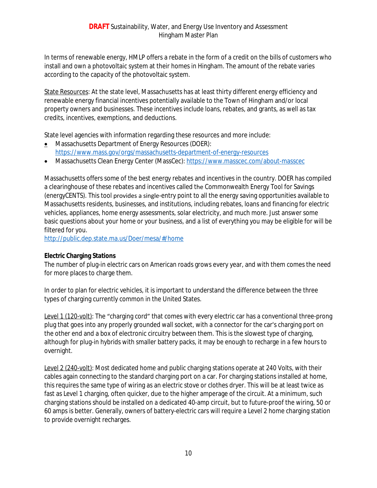In terms of renewable energy, HMLP offers a rebate in the form of a credit on the bills of customers who install and own a photovoltaic system at their homes in Hingham. The amount of the rebate varies according to the capacity of the photovoltaic system.

State Resources: At the state level, Massachusetts has at least thirty different energy efficiency and renewable energy financial incentives potentially available to the Town of Hingham and/or local property owners and businesses. These incentives include loans, rebates, and grants, as well as tax credits, incentives, exemptions, and deductions.

State level agencies with information regarding these resources and more include:

- **Massachusetts Department of Energy Resources (DOER):** <https://www.mass.gov/orgs/massachusetts-department-of-energy-resources>
- Massachusetts Clean Energy Center (MassCec):<https://www.masscec.com/about-masscec>

Massachusetts offers some of the best energy rebates and incentives in the country. DOER has compiled a clearinghouse of these rebates and incentives called the Commonwealth Energy Tool for Savings (energyCENTS). This tool provides a single-entry point to all the energy saving opportunities available to Massachusetts residents, businesses, and institutions, including rebates, loans and financing for electric vehicles, appliances, home energy assessments, solar electricity, and much more. Just answer some basic questions about your home or your business, and a list of everything you may be eligible for will be filtered for you.

<http://public.dep.state.ma.us/Doer/mesa/#/home>

#### **Electric Charging Stations**

The number of plug-in electric cars on American roads grows every year, and with them comes the need for more places to charge them.

In order to plan for electric vehicles, it is important to understand the difference between the three types of charging currently common in the United States.

Level 1 (120-volt): The "charging cord" that comes with every electric car has a conventional three-prong plug that goes into any properly grounded wall socket, with a connector for the car's charging port on the other end and a box of electronic circuitry between them. This is the slowest type of charging, although for plug-in hybrids with smaller battery packs, it may be enough to recharge in a few hours to overnight.

Level 2 (240-volt): Most dedicated home and public charging stations operate at 240 Volts, with their cables again connecting to the standard charging port on a car. For charging stations installed at home, this requires the same type of wiring as an electric stove or clothes dryer. This will be at least twice as fast as Level 1 charging, often quicker, due to the higher amperage of the circuit. At a minimum, such charging stations should be installed on a dedicated 40-amp circuit, but to future-proof the wiring, 50 or 60 amps is better. Generally, owners of battery-electric cars will require a Level 2 home charging station to provide overnight recharges.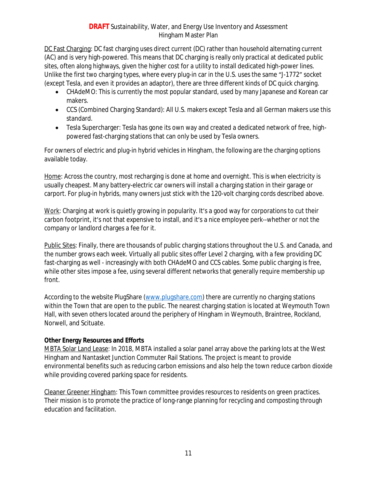DC Fast Charging: DC fast charging uses direct current (DC) rather than household alternating current (AC) and is very high-powered. This means that DC charging is really only practical at dedicated public sites, often along highways, given the higher cost for a utility to install dedicated high-power lines. Unlike the first two charging types, where every plug-in car in the U.S. uses the same "J-1772" socket (except Tesla, and even it provides an adaptor), there are three different kinds of DC quick charging.

- CHAdeMO: This is currently the most popular standard, used by many Japanese and Korean car makers.
- CCS (Combined Charging Standard): All U.S. makers except Tesla and all German makers use this standard.
- Tesla Supercharger: Tesla has gone its own way and created a dedicated network of free, highpowered fast-charging stations that can only be used by Tesla owners.

For owners of electric and plug-in hybrid vehicles in Hingham, the following are the charging options available today.

Home: Across the country, most recharging is done at home and overnight. This is when electricity is usually cheapest. Many battery-electric car owners will install a charging station in their garage or carport. For plug-in hybrids, many owners just stick with the 120-volt charging cords described above.

Work: Charging at work is quietly growing in popularity. It's a good way for corporations to cut their carbon footprint, it's not that expensive to install, and it's a nice employee perk--whether or not the company or landlord charges a fee for it.

Public Sites: Finally, there are thousands of public charging stations throughout the U.S. and Canada, and the number grows each week. Virtually all public sites offer Level 2 charging, with a few providing DC fast-charging as well - increasingly with both CHAdeMO and CCS cables. Some public charging is free, while other sites impose a fee, using several different networks that generally require membership up front.

According to the website PlugShare [\(www.plugshare.com\)](http://www.plugshare.com) there are currently no charging stations within the Town that are open to the public. The nearest charging station is located at Weymouth Town Hall, with seven others located around the periphery of Hingham in Weymouth, Braintree, Rockland, Norwell, and Scituate.

## **Other Energy Resources and Efforts**

[MBTA Solar Land Lease:](https://www.hingham-ma.gov/800/MBTA-Solar-Land-Lease) In 2018, MBTA installed a solar panel array above the parking lots at the West Hingham and Nantasket Junction Commuter Rail Stations. The project is meant to provide environmental benefits such as reducing carbon emissions and also help the town reduce carbon dioxide while providing covered parking space for residents.

Cleaner Greener Hingham: This Town committee provides resources to residents on green practices. Their mission is to promote the practice of long-range planning for recycling and composting through education and facilitation.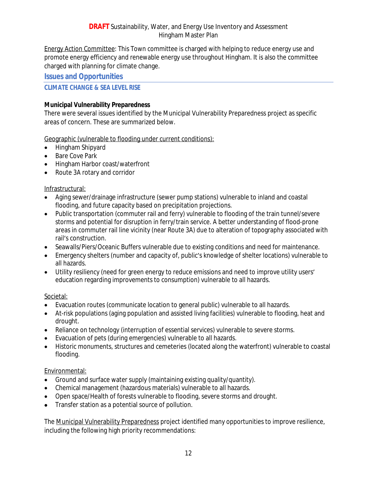Energy Action Committee: This Town committee is charged with helping to reduce energy use and promote energy efficiency and renewable energy use throughout Hingham. It is also the committee charged with planning for climate change.

#### **Issues and Opportunities**

#### <span id="page-13-0"></span>**CLIMATE CHANGE & SEA LEVEL RISE**

#### **Municipal Vulnerability Preparedness**

There were several issues identified by the Municipal Vulnerability Preparedness project as specific areas of concern. These are summarized below.

Geographic (vulnerable to flooding under current conditions):

- Hingham Shipyard
- Bare Cove Park
- Hingham Harbor coast/waterfront
- Route 3A rotary and corridor

#### Infrastructural:

- Aging sewer/drainage infrastructure (sewer pump stations) vulnerable to inland and coastal flooding, and future capacity based on precipitation projections.
- Public transportation (commuter rail and ferry) vulnerable to flooding of the train tunnel/severe storms and potential for disruption in ferry/train service. A better understanding of flood-prone areas in commuter rail line vicinity (near Route 3A) due to alteration of topography associated with rail's construction.
- Seawalls/Piers/Oceanic Buffers vulnerable due to existing conditions and need for maintenance.
- Emergency shelters (number and capacity of, public's knowledge of shelter locations) vulnerable to all hazards.
- Utility resiliency (need for green energy to reduce emissions and need to improve utility users' education regarding improvements to consumption) vulnerable to all hazards.

#### Societal:

- Evacuation routes (communicate location to general public) vulnerable to all hazards.
- At-risk populations (aging population and assisted living facilities) vulnerable to flooding, heat and drought.
- Reliance on technology (interruption of essential services) vulnerable to severe storms.
- Evacuation of pets (during emergencies) vulnerable to all hazards.
- Historic monuments, structures and cemeteries (located along the waterfront) vulnerable to coastal flooding.

#### Environmental:

- Ground and surface water supply (maintaining existing quality/quantity).
- Chemical management (hazardous materials) vulnerable to all hazards.
- Open space/Health of forests vulnerable to flooding, severe storms and drought.
- Transfer station as a potential source of pollution.

The Municipal Vulnerability Preparedness project identified many opportunities to improve resilience, including the following high priority recommendations: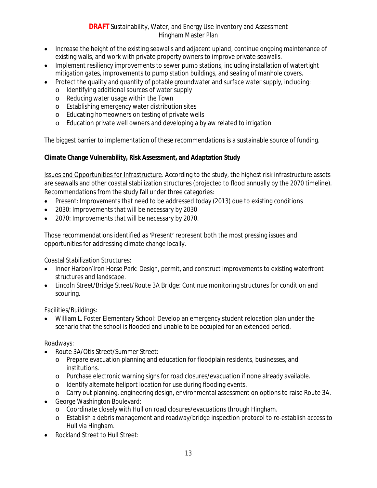- Increase the height of the existing seawalls and adjacent upland, continue ongoing maintenance of existing walls, and work with private property owners to improve private seawalls.
- Implement resiliency improvements to sewer pump stations, including installation of watertight mitigation gates, improvements to pump station buildings, and sealing of manhole covers.
- Protect the quality and quantity of potable groundwater and surface water supply, including:
	- o Identifying additional sources of water supply
	- o Reducing water usage within the Town
	- o Establishing emergency water distribution sites
	- o Educating homeowners on testing of private wells
	- o Education private well owners and developing a bylaw related to irrigation

The biggest barrier to implementation of these recommendations is a sustainable source of funding.

#### **Climate Change Vulnerability, Risk Assessment, and Adaptation Study**

Issues and Opportunities for Infrastructure. According to the study, the highest risk infrastructure assets are seawalls and other coastal stabilization structures (projected to flood annually by the 2070 timeline). Recommendations from the study fall under three categories:

- Present: Improvements that need to be addressed today (2013) due to existing conditions
- 2030: Improvements that will be necessary by 2030
- 2070: Improvements that will be necessary by 2070.

Those recommendations identified as 'Present' represent both the most pressing issues and opportunities for addressing climate change locally.

Coastal Stabilization Structures:

- Inner Harbor/Iron Horse Park: Design, permit, and construct improvements to existing waterfront structures and landscape.
- Lincoln Street/Bridge Street/Route 3A Bridge: Continue monitoring structures for condition and scouring.

Facilities/Buildings:

 William L. Foster Elementary School: Develop an emergency student relocation plan under the scenario that the school is flooded and unable to be occupied for an extended period.

#### Roadways:

- Route 3A/Otis Street/Summer Street:
	- o Prepare evacuation planning and education for floodplain residents, businesses, and institutions.
	- o Purchase electronic warning signs for road closures/evacuation if none already available.
	- o Identify alternate heliport location for use during flooding events.
	- o Carry out planning, engineering design, environmental assessment on options to raise Route 3A.
- George Washington Boulevard:
	- o Coordinate closely with Hull on road closures/evacuations through Hingham.
	- o Establish a debris management and roadway/bridge inspection protocol to re-establish access to Hull via Hingham.
- Rockland Street to Hull Street: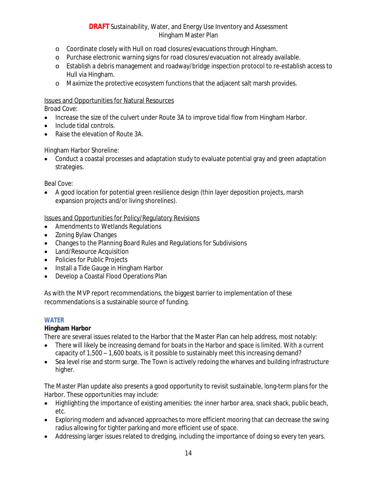- o Coordinate closely with Hull on road closures/evacuations through Hingham.
- o Purchase electronic warning signs for road closures/evacuation not already available.
- o Establish a debris management and roadway/bridge inspection protocol to re-establish access to Hull via Hingham.
- o Maximize the protective ecosystem functions that the adjacent salt marsh provides.

#### Issues and Opportunities for Natural Resources

Broad Cove:

- Increase the size of the culvert under Route 3A to improve tidal flow from Hingham Harbor.
- Include tidal controls.
- Raise the elevation of Route 3A.

Hingham Harbor Shoreline:

 Conduct a coastal processes and adaptation study to evaluate potential gray and green adaptation strategies.

Beal Cove:

 A good location for potential green resilience design (thin layer deposition projects, marsh expansion projects and/or living shorelines).

Issues and Opportunities for Policy/Regulatory Revisions

- Amendments to Wetlands Regulations
- Zoning Bylaw Changes
- Changes to the Planning Board Rules and Regulations for Subdivisions
- Land/Resource Acquisition
- Policies for Public Projects
- Install a Tide Gauge in Hingham Harbor
- Develop a Coastal Flood Operations Plan

As with the MVP report recommendations, the biggest barrier to implementation of these recommendations is a sustainable source of funding.

#### <span id="page-15-0"></span>**WATER**

#### **Hingham Harbor**

There are several issues related to the Harbor that the Master Plan can help address, most notably:

- There will likely be increasing demand for boats in the Harbor and space is limited. With a current capacity of 1,500 – 1,600 boats, is it possible to sustainably meet this increasing demand?
- Sea level rise and storm surge. The Town is actively redoing the wharves and building infrastructure higher.

The Master Plan update also presents a good opportunity to revisit sustainable, long-term plans for the Harbor. These opportunities may include:

- Highlighting the importance of existing amenities: the inner harbor area, snack shack, public beach, etc.
- Exploring modern and advanced approaches to more efficient mooring that can decrease the swing radius allowing for tighter parking and more efficient use of space.
- Addressing larger issues related to dredging, including the importance of doing so every ten years.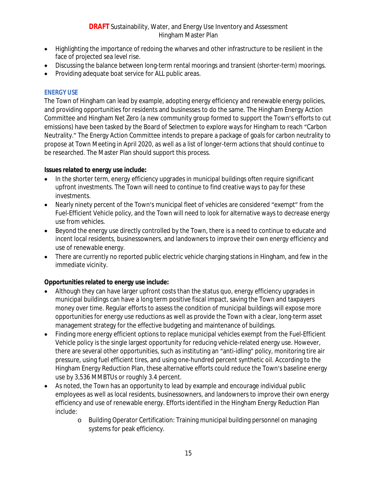- Highlighting the importance of redoing the wharves and other infrastructure to be resilient in the face of projected sea level rise.
- Discussing the balance between long-term rental moorings and transient (shorter-term) moorings.
- Providing adequate boat service for ALL public areas.

#### <span id="page-16-0"></span>**ENERGY USE**

The Town of Hingham can lead by example, adopting energy efficiency and renewable energy policies, and providing opportunities for residents and businesses to do the same. The Hingham Energy Action Committee and Hingham Net Zero (a new community group formed to support the Town's efforts to cut emissions) have been tasked by the Board of Selectmen to explore ways for Hingham to reach "Carbon Neutrality." The Energy Action Committee intends to prepare a package of goals for carbon neutrality to propose at Town Meeting in April 2020, as well as a list of longer-term actions that should continue to be researched. The Master Plan should support this process.

#### **Issues related to energy use include:**

- In the shorter term, energy efficiency upgrades in municipal buildings often require significant upfront investments. The Town will need to continue to find creative ways to pay for these investments.
- Nearly ninety percent of the Town's municipal fleet of vehicles are considered "exempt" from the Fuel-Efficient Vehicle policy, and the Town will need to look for alternative ways to decrease energy use from vehicles.
- Beyond the energy use directly controlled by the Town, there is a need to continue to educate and incent local residents, businessowners, and landowners to improve their own energy efficiency and use of renewable energy.
- There are currently no reported public electric vehicle charging stations in Hingham, and few in the immediate vicinity.

## **Opportunities related to energy use include:**

- Although they can have larger upfront costs than the status quo, energy efficiency upgrades in municipal buildings can have a long term positive fiscal impact, saving the Town and taxpayers money over time. Regular efforts to assess the condition of municipal buildings will expose more opportunities for energy use reductions as well as provide the Town with a clear, long-term asset management strategy for the effective budgeting and maintenance of buildings.
- Finding more energy efficient options to replace municipal vehicles exempt from the Fuel-Efficient Vehicle policy is the single largest opportunity for reducing vehicle-related energy use. However, there are several other opportunities, such as instituting an "anti-idling" policy, monitoring tire air pressure, using fuel efficient tires, and using one-hundred percent synthetic oil. According to the Hingham Energy Reduction Plan, these alternative efforts could reduce the Town's baseline energy use by 3,536 MMBTUs or roughly 3.4 percent.
- As noted, the Town has an opportunity to lead by example and encourage individual public employees as well as local residents, businessowners, and landowners to improve their own energy efficiency and use of renewable energy. Efforts identified in the Hingham Energy Reduction Plan include:
	- o Building Operator Certification: Training municipal building personnel on managing systems for peak efficiency.